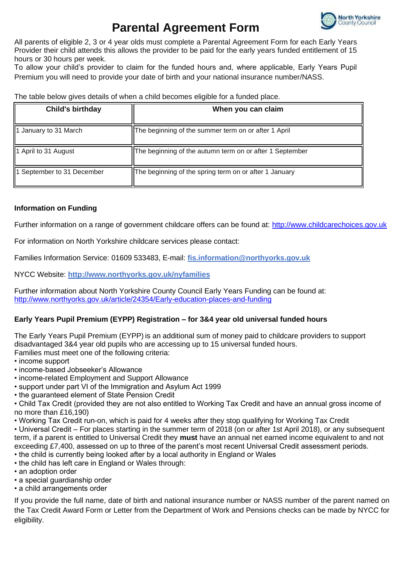

# **Parental Agreement Form**

All parents of eligible 2, 3 or 4 year olds must complete a Parental Agreement Form for each Early Years Provider their child attends this allows the provider to be paid for the early years funded entitlement of 15 hours or 30 hours per week.

To allow your child's provider to claim for the funded hours and, where applicable, Early Years Pupil Premium you will need to provide your date of birth and your national insurance number/NASS.

The table below gives details of when a child becomes eligible for a funded place.

| <b>Child's birthday</b>    | When you can claim                                       |
|----------------------------|----------------------------------------------------------|
| 1 January to 31 March      | The beginning of the summer term on or after 1 April     |
| 1 April to 31 August       | The beginning of the autumn term on or after 1 September |
| 1 September to 31 December | The beginning of the spring term on or after 1 January   |

### **Information on Funding**

Further information on a range of government childcare offers can be found at: http://www.childcarechoices.gov.uk

For information on North Yorkshire childcare services please contact:

Families Information Service: 01609 533483, E-mail: **[fis.information@northyorks.gov.uk](mailto:fis.information@northyorks.gov.uk)**

NYCC Website: **<http://www.northyorks.gov.uk/nyfamilies>**

Further information about North Yorkshire County Council Early Years Funding can be found at: <http://www.northyorks.gov.uk/article/24354/Early-education-places-and-funding>

### **Early Years Pupil Premium (EYPP) Registration – for 3&4 year old universal funded hours**

The Early Years Pupil Premium (EYPP) is an additional sum of money paid to childcare providers to support disadvantaged 3&4 year old pupils who are accessing up to 15 universal funded hours. Families must meet one of the following criteria:

• income support

- income-based Jobseeker's Allowance
- income-related Employment and Support Allowance
- support under part VI of the Immigration and Asylum Act 1999
- the guaranteed element of State Pension Credit

• Child Tax Credit (provided they are not also entitled to Working Tax Credit and have an annual gross income of no more than £16,190)

• Working Tax Credit run-on, which is paid for 4 weeks after they stop qualifying for Working Tax Credit

• Universal Credit – For places starting in the summer term of 2018 (on or after 1st April 2018), or any subsequent term, if a parent is entitled to Universal Credit they **must** have an annual net earned income equivalent to and not exceeding £7,400, assessed on up to three of the parent's most recent Universal Credit assessment periods.

- the child is currently being looked after by a local authority in England or Wales
- the child has left care in England or Wales through:
- an adoption order
- a special guardianship order
- a child arrangements order

If you provide the full name, date of birth and national insurance number or NASS number of the parent named on the Tax Credit Award Form or Letter from the Department of Work and Pensions checks can be made by NYCC for eligibility.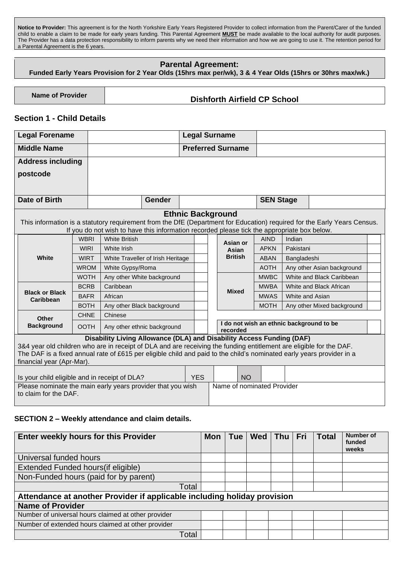**Notice to Provider:** This agreement is for the North Yorkshire Early Years Registered Provider to collect information from the Parent/Carer of the funded child to enable a claim to be made for early years funding. This Parental Agreement **MUST** be made available to the local authority for audit purposes. The Provider has a data protection responsibility to inform parents why we need their information and how we are going to use it. The retention period for a Parental Agreement is the 6 years.

### **Parental Agreement:**

**Funded Early Years Provision for 2 Year Olds (15hrs max per/wk), 3 & 4 Year Olds (15hrs or 30hrs max/wk.)**

# **Name of Provider Dishforth Airfield CP School**

### **Section 1 - Child Details**

| <b>Legal Forename</b>                         |                                   |             |                                                                                                                          |  |            | <b>Legal Surname</b>                                 |                            |                  |                            |  |  |  |
|-----------------------------------------------|-----------------------------------|-------------|--------------------------------------------------------------------------------------------------------------------------|--|------------|------------------------------------------------------|----------------------------|------------------|----------------------------|--|--|--|
| <b>Middle Name</b>                            |                                   |             |                                                                                                                          |  |            | <b>Preferred Surname</b>                             |                            |                  |                            |  |  |  |
|                                               | <b>Address including</b>          |             |                                                                                                                          |  |            |                                                      |                            |                  |                            |  |  |  |
|                                               | postcode                          |             |                                                                                                                          |  |            |                                                      |                            |                  |                            |  |  |  |
|                                               |                                   |             |                                                                                                                          |  |            |                                                      |                            |                  |                            |  |  |  |
|                                               | <b>Date of Birth</b>              |             | <b>Gender</b>                                                                                                            |  |            |                                                      |                            | <b>SEN Stage</b> |                            |  |  |  |
|                                               |                                   |             |                                                                                                                          |  |            |                                                      |                            |                  |                            |  |  |  |
|                                               |                                   |             |                                                                                                                          |  |            | <b>Ethnic Background</b>                             |                            |                  |                            |  |  |  |
|                                               |                                   |             | This information is a statutory requirement from the DfE (Department for Education) required for the Early Years Census. |  |            |                                                      |                            |                  |                            |  |  |  |
|                                               |                                   | <b>WBRI</b> | If you do not wish to have this information recorded please tick the appropriate box below.<br><b>White British</b>      |  |            |                                                      | <b>AIND</b>                | Indian           |                            |  |  |  |
|                                               | White                             | <b>WIRI</b> | White Irish                                                                                                              |  |            | Asian or<br>Asian                                    | <b>APKN</b>                | Pakistani        |                            |  |  |  |
|                                               |                                   | <b>WIRT</b> | White Traveller of Irish Heritage                                                                                        |  |            | <b>British</b>                                       | <b>ABAN</b>                | Bangladeshi      |                            |  |  |  |
|                                               |                                   | <b>WROM</b> | White Gypsy/Roma                                                                                                         |  |            |                                                      | <b>AOTH</b>                |                  | Any other Asian background |  |  |  |
|                                               |                                   | <b>WOTH</b> | Any other White background                                                                                               |  |            |                                                      | <b>MWBC</b>                |                  | White and Black Caribbean  |  |  |  |
|                                               | <b>Black or Black</b>             | <b>BCRB</b> | Caribbean                                                                                                                |  |            |                                                      |                            |                  | White and Black African    |  |  |  |
|                                               |                                   | <b>BAFR</b> | African                                                                                                                  |  |            | <b>Mixed</b>                                         | <b>MWBA</b><br><b>MWAS</b> | White and Asian  |                            |  |  |  |
|                                               | Caribbean                         | <b>BOTH</b> | Any other Black background                                                                                               |  |            |                                                      | <b>MOTH</b>                |                  | Any other Mixed background |  |  |  |
|                                               |                                   | <b>CHNE</b> | Chinese                                                                                                                  |  |            |                                                      |                            |                  |                            |  |  |  |
|                                               | <b>Other</b><br><b>Background</b> | <b>OOTH</b> | Any other ethnic background                                                                                              |  |            | I do not wish an ethnic background to be<br>recorded |                            |                  |                            |  |  |  |
|                                               |                                   |             | Disability Living Allowance (DLA) and Disability Access Funding (DAF)                                                    |  |            |                                                      |                            |                  |                            |  |  |  |
|                                               |                                   |             | 3&4 year old children who are in receipt of DLA and are receiving the funding entitlement are eligible for the DAF.      |  |            |                                                      |                            |                  |                            |  |  |  |
|                                               | financial year (Apr-Mar).         |             | The DAF is a fixed annual rate of £615 per eligible child and paid to the child's nominated early years provider in a    |  |            |                                                      |                            |                  |                            |  |  |  |
|                                               |                                   |             |                                                                                                                          |  |            |                                                      |                            |                  |                            |  |  |  |
| Is your child eligible and in receipt of DLA? |                                   |             |                                                                                                                          |  | <b>YES</b> | <b>NO</b>                                            |                            |                  |                            |  |  |  |
|                                               | to claim for the DAF.             |             | Please nominate the main early years provider that you wish                                                              |  |            |                                                      | Name of nominated Provider |                  |                            |  |  |  |

#### **SECTION 2 – Weekly attendance and claim details.**

| Enter weekly hours for this Provider                                     | <b>Mon</b> | <b>Tue</b> | Wed | Thu   Fri | <b>Total</b> | <b>Number of</b><br>funded<br>weeks |
|--------------------------------------------------------------------------|------------|------------|-----|-----------|--------------|-------------------------------------|
| Universal funded hours                                                   |            |            |     |           |              |                                     |
| Extended Funded hours (if eligible)                                      |            |            |     |           |              |                                     |
| Non-Funded hours (paid for by parent)                                    |            |            |     |           |              |                                     |
| Total                                                                    |            |            |     |           |              |                                     |
| Attendance at another Provider if applicable including holiday provision |            |            |     |           |              |                                     |
| <b>Name of Provider</b>                                                  |            |            |     |           |              |                                     |
| Number of universal hours claimed at other provider                      |            |            |     |           |              |                                     |
| Number of extended hours claimed at other provider                       |            |            |     |           |              |                                     |
| Total                                                                    |            |            |     |           |              |                                     |